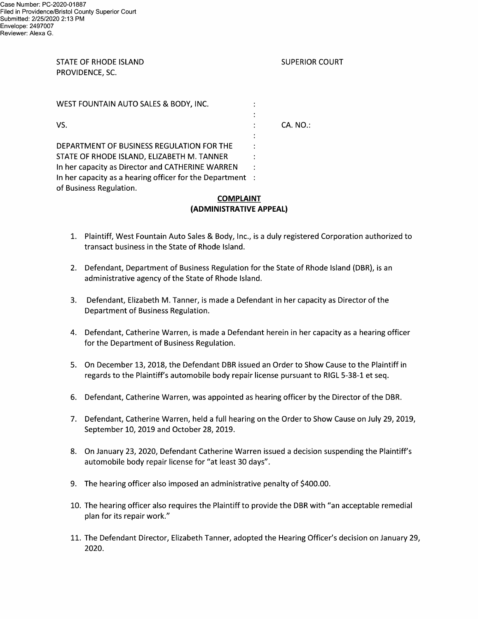## STATE OF RHODE ISLAND SUPERIOR COURT PROVIDENCE, SC.

| WEST FOUNTAIN AUTO SALES & BODY, INC.                                                          |          |
|------------------------------------------------------------------------------------------------|----------|
| VS.                                                                                            | CA. NO.: |
| DEPARTMENT OF BUSINESS REGULATION FOR THE                                                      |          |
| STATE OF RHODE ISLAND, ELIZABETH M. TANNER<br>In her capacity as Director and CATHERINE WARREN |          |
| In her capacity as a hearing officer for the Department :<br>of Business Regulation.           |          |

## COMPLAINT (ADMINISTRATIVE APPEAL)

- 1. Plaintiff, West Fountain Auto Sales & Body, Inc., is a duly registered Corporation authorized to transact business in the State of Rhode Island.
- 2. Defendant, Department of Business Regulation for the State of Rhode Island (DBR), is an administrative agency of the State of Rhode Island.
- 3. Defendant, Elizabeth M. Tanner, is made a Defendant in her capacity as Director of the Department of Business Regulation.
- 4. Defendant, Catherine Warren, is made a Defendant herein in her capacity as a hearing officer for the Department of Business Regulation.
- 5. On December 13, 2018, the Defendant DBR issued an Order to Show Cause to the Plaintiff in regards to the Plaintiff's automobile body repair license pursuant to RIGL 5—38—1 et seq.
- 6. Defendant, Catherine Warren, was appointed as hearing officer by the Director of the DBR.
- 7. Defendant, Catherine Warren, held a full hearing on the Order to Show Cause on July 29, 2019, September 10, 2019 and October 28, 2019.
- 8. On January 23, 2020, Defendant Catherine Warren issued a decision suspending the Plaintiff's automobile body repair license for "at least 3O days".
- 9. The hearing officer also imposed an administrative penalty of \$400.00.
- 10. The hearing officer also requires the Plaintiff to provide the DBR with "an acceptable remedial plan for its repair work."
- 11. The Defendant Director, Elizabeth Tanner, adopted the Hearing Officer's decision on January 29, 2020.